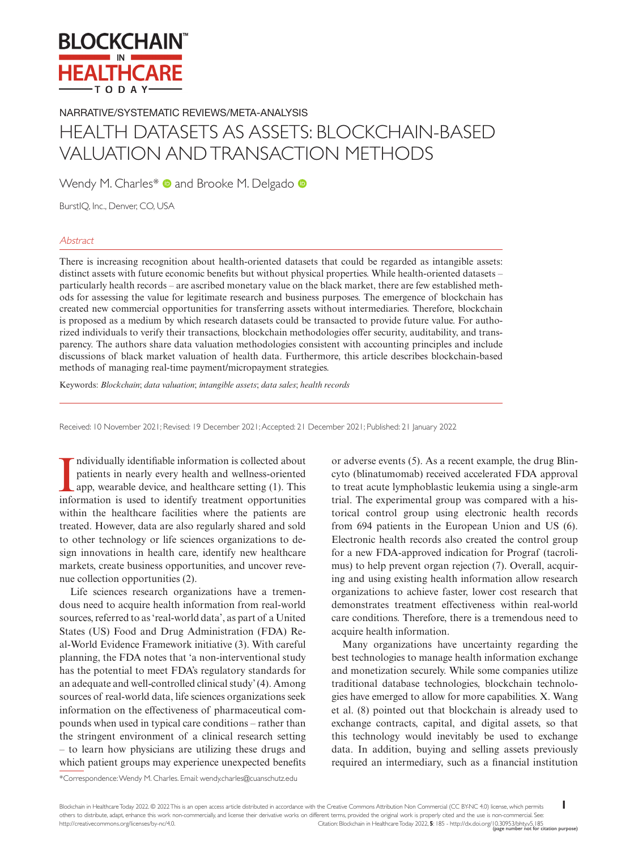

NARRATIVE/SYSTEMATIC REVIEWS/META-ANALYSIS

# HEALTH DATASETS AS ASSETS: BLOCKCHAIN-BASED VALUATION AND TRANSACTION METHODS

WendyM. Charles\* **a** and Brooke M. Delgado **a** 

BurstIQ, Inc., Denver, CO, USA

# **Abstract**

There is increasing recognition about health-oriented datasets that could be regarded as intangible assets: distinct assets with future economic benefits but without physical properties. While health-oriented datasets – particularly health records – are ascribed monetary value on the black market, there are few established methods for assessing the value for legitimate research and business purposes. The emergence of blockchain has created new commercial opportunities for transferring assets without intermediaries. Therefore, blockchain is proposed as a medium by which research datasets could be transacted to provide future value. For authorized individuals to verify their transactions, blockchain methodologies offer security, auditability, and transparency. The authors share data valuation methodologies consistent with accounting principles and include discussions of black market valuation of health data. Furthermore, this article describes blockchain-based methods of managing real-time payment/micropayment strategies.

Keywords: *Blockchain*; *data valuation*; *intangible assets*; *data sales*; *health records*

Received: 10 November 2021; Revised: 19 December 2021; Accepted: 21 December 2021; Published: 21 January 2022

Individually identifiable information is collected about patients in nearly every health and wellness-oriented app, wearable device, and healthcare setting (1). This information is used to identify treatment opportunities ndividually identifiable information is collected about patients in nearly every health and wellness-oriented app, wearable device, and healthcare setting (1). This within the healthcare facilities where the patients are treated. However, data are also regularly shared and sold to other technology or life sciences organizations to design innovations in health care, identify new healthcare markets, create business opportunities, and uncover revenue collection opportunities (2).

Life sciences research organizations have a tremendous need to acquire health information from real-world sources, referred to as 'real-world data', as part of a United States (US) Food and Drug Administration (FDA) Real-World Evidence Framework initiative (3). With careful planning, the FDA notes that 'a non-interventional study has the potential to meet FDA's regulatory standards for an adequate and well-controlled clinical study' (4). Among sources of real-world data, life sciences organizations seek information on the effectiveness of pharmaceutical compounds when used in typical care conditions – rather than the stringent environment of a clinical research setting – to learn how physicians are utilizing these drugs and which patient groups may experience unexpected benefits

or adverse events (5). As a recent example, the drug Blincyto (blinatumomab) received accelerated FDA approval to treat acute lymphoblastic leukemia using a single-arm trial. The experimental group was compared with a historical control group using electronic health records from 694 patients in the European Union and US (6). Electronic health records also created the control group for a new FDA-approved indication for Prograf (tacrolimus) to help prevent organ rejection (7). Overall, acquiring and using existing health information allow research organizations to achieve faster, lower cost research that demonstrates treatment effectiveness within real-world care conditions. Therefore, there is a tremendous need to acquire health information.

Many organizations have uncertainty regarding the best technologies to manage health information exchange and monetization securely. While some companies utilize traditional database technologies, blockchain technologies have emerged to allow for more capabilities. X. Wang et al. (8) pointed out that blockchain is already used to exchange contracts, capital, and digital assets, so that this technology would inevitably be used to exchange data. In addition, buying and selling assets previously required an intermediary, such as a financial institution

\*Correspondence: Wendy M. Charles. Email: [wendy.charles@cuanschutz.edu](mailto:wendy.charles@cuanschutz.edu)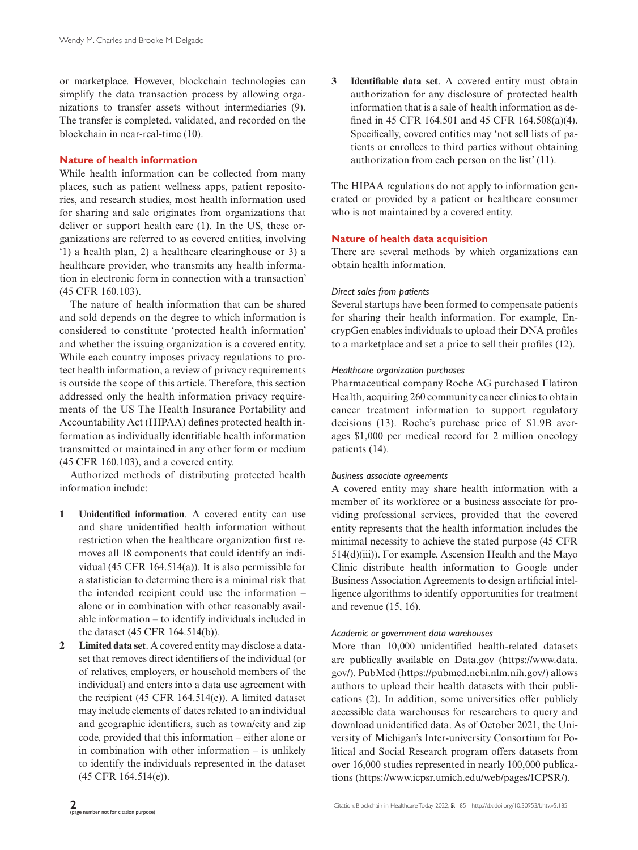or marketplace. However, blockchain technologies can simplify the data transaction process by allowing organizations to transfer assets without intermediaries (9). The transfer is completed, validated, and recorded on the blockchain in near-real-time (10).

## **Nature of health information**

While health information can be collected from many places, such as patient wellness apps, patient repositories, and research studies, most health information used for sharing and sale originates from organizations that deliver or support health care (1). In the US, these organizations are referred to as covered entities, involving '1) a health plan, 2) a healthcare clearinghouse or 3) a healthcare provider, who transmits any health information in electronic form in connection with a transaction' (45 CFR 160.103).

The nature of health information that can be shared and sold depends on the degree to which information is considered to constitute 'protected health information' and whether the issuing organization is a covered entity. While each country imposes privacy regulations to protect health information, a review of privacy requirements is outside the scope of this article. Therefore, this section addressed only the health information privacy requirements of the US The Health Insurance Portability and Accountability Act (HIPAA) defines protected health information as individually identifiable health information transmitted or maintained in any other form or medium (45 CFR 160.103), and a covered entity.

Authorized methods of distributing protected health information include:

- **1 Unidentified information**. A covered entity can use and share unidentified health information without restriction when the healthcare organization first removes all 18 components that could identify an individual (45 CFR 164.514(a)). It is also permissible for a statistician to determine there is a minimal risk that the intended recipient could use the information – alone or in combination with other reasonably available information – to identify individuals included in the dataset (45 CFR 164.514(b)).
- **2 Limited data set**. A covered entity may disclose a dataset that removes direct identifiers of the individual (or of relatives, employers, or household members of the individual) and enters into a data use agreement with the recipient (45 CFR 164.514(e)). A limited dataset may include elements of dates related to an individual and geographic identifiers, such as town/city and zip code, provided that this information – either alone or in combination with other information – is unlikely to identify the individuals represented in the dataset (45 CFR 164.514(e)).

**3 Identifiable data set**. A covered entity must obtain authorization for any disclosure of protected health information that is a sale of health information as defined in 45 CFR 164.501 and 45 CFR 164.508(a)(4). Specifically, covered entities may 'not sell lists of patients or enrollees to third parties without obtaining authorization from each person on the list' (11).

The HIPAA regulations do not apply to information generated or provided by a patient or healthcare consumer who is not maintained by a covered entity.

# **Nature of health data acquisition**

There are several methods by which organizations can obtain health information.

# *Direct sales from patients*

Several startups have been formed to compensate patients for sharing their health information. For example, EncrypGen enables individuals to upload their DNA profiles to a marketplace and set a price to sell their profiles (12).

# *Healthcare organization purchases*

Pharmaceutical company Roche AG purchased Flatiron Health, acquiring 260 community cancer clinics to obtain cancer treatment information to support regulatory decisions (13). Roche's purchase price of \$1.9B averages \$1,000 per medical record for 2 million oncology patients (14).

# *Business associate agreements*

A covered entity may share health information with a member of its workforce or a business associate for providing professional services, provided that the covered entity represents that the health information includes the minimal necessity to achieve the stated purpose (45 CFR 514(d)(iii)). For example, Ascension Health and the Mayo Clinic distribute health information to Google under Business Association Agreements to design artificial intelligence algorithms to identify opportunities for treatment and revenue (15, 16).

# *Academic or government data warehouses*

More than 10,000 unidentified health-related datasets are publically available on [Data.gov](http://Data.gov) [\(https://www.data.](https://www.data.gov/) [gov/\)](https://www.data.gov/). PubMed (<https://pubmed.ncbi.nlm.nih.gov/>) allows authors to upload their health datasets with their publications (2). In addition, some universities offer publicly accessible data warehouses for researchers to query and download unidentified data. As of October 2021, the University of Michigan's Inter-university Consortium for Political and Social Research program offers datasets from over 16,000 studies represented in nearly 100,000 publications [\(https://www.icpsr.umich.edu/web/pages/ICPSR/\)](https://www.icpsr.umich.edu/web/pages/ICPSR/).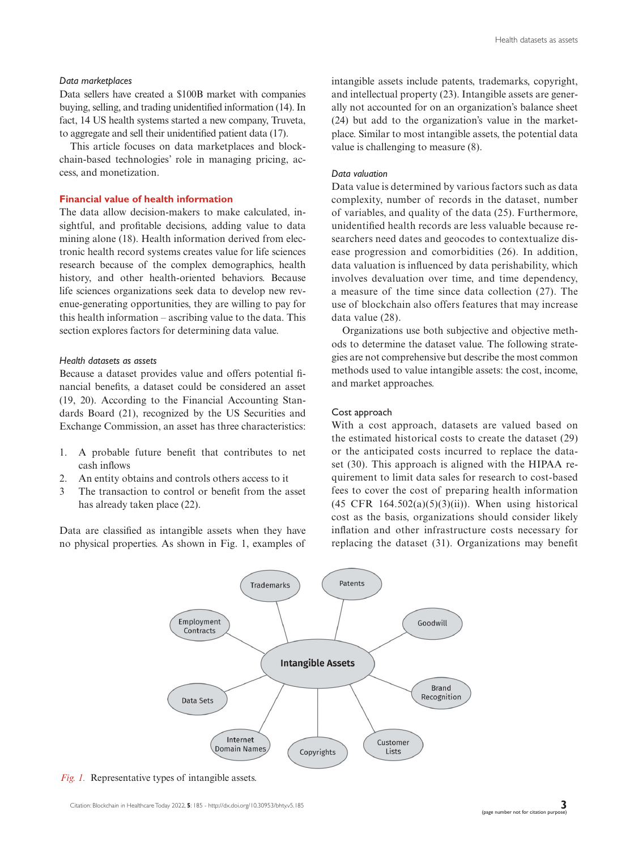# *Data marketplaces*

Data sellers have created a \$100B market with companies buying, selling, and trading unidentified information (14). In fact, 14 US health systems started a new company, Truveta, to aggregate and sell their unidentified patient data (17).

This article focuses on data marketplaces and blockchain-based technologies' role in managing pricing, access, and monetization.

# **Financial value of health information**

The data allow decision-makers to make calculated, insightful, and profitable decisions, adding value to data mining alone (18). Health information derived from electronic health record systems creates value for life sciences research because of the complex demographics, health history, and other health-oriented behaviors. Because life sciences organizations seek data to develop new revenue-generating opportunities, they are willing to pay for this health information – ascribing value to the data. This section explores factors for determining data value.

## *Health datasets as assets*

Because a dataset provides value and offers potential financial benefits, a dataset could be considered an asset (19, 20). According to the Financial Accounting Standards Board (21), recognized by the US Securities and Exchange Commission, an asset has three characteristics:

- 1. A probable future benefit that contributes to net cash inflows
- 2. An entity obtains and controls others access to it
- 3 The transaction to control or benefit from the asset has already taken place (22).

Data are classified as intangible assets when they have no physical properties. As shown in Fig. 1, examples of

intangible assets include patents, trademarks, copyright, and intellectual property (23). Intangible assets are generally not accounted for on an organization's balance sheet (24) but add to the organization's value in the marketplace. Similar to most intangible assets, the potential data value is challenging to measure (8).

### *Data valuation*

Data value is determined by various factors such as data complexity, number of records in the dataset, number of variables, and quality of the data (25). Furthermore, unidentified health records are less valuable because researchers need dates and geocodes to contextualize disease progression and comorbidities (26). In addition, data valuation is influenced by data perishability, which involves devaluation over time, and time dependency, a measure of the time since data collection (27). The use of blockchain also offers features that may increase data value (28).

Organizations use both subjective and objective methods to determine the dataset value. The following strategies are not comprehensive but describe the most common methods used to value intangible assets: the cost, income, and market approaches.

#### Cost approach

With a cost approach, datasets are valued based on the estimated historical costs to create the dataset (29) or the anticipated costs incurred to replace the dataset (30). This approach is aligned with the HIPAA requirement to limit data sales for research to cost-based fees to cover the cost of preparing health information  $(45 \text{ CFR } 164.502(a)(5)(3)(ii))$ . When using historical cost as the basis, organizations should consider likely inflation and other infrastructure costs necessary for replacing the dataset (31). Organizations may benefit



*Fig. 1.* Representative types of intangible assets.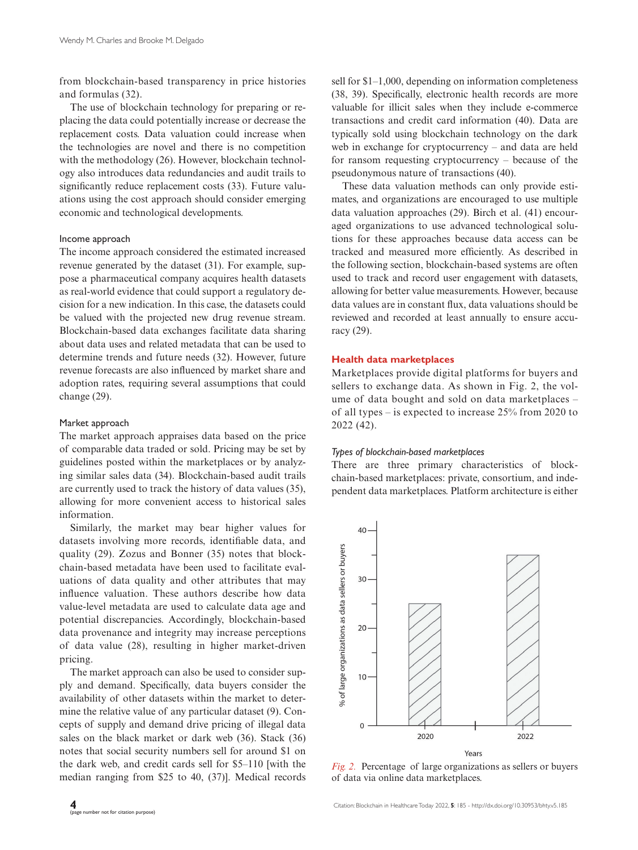from blockchain-based transparency in price histories and formulas (32).

The use of blockchain technology for preparing or replacing the data could potentially increase or decrease the replacement costs. Data valuation could increase when the technologies are novel and there is no competition with the methodology (26). However, blockchain technology also introduces data redundancies and audit trails to significantly reduce replacement costs (33). Future valuations using the cost approach should consider emerging economic and technological developments.

# Income approach

The income approach considered the estimated increased revenue generated by the dataset (31). For example, suppose a pharmaceutical company acquires health datasets as real-world evidence that could support a regulatory decision for a new indication. In this case, the datasets could be valued with the projected new drug revenue stream. Blockchain-based data exchanges facilitate data sharing about data uses and related metadata that can be used to determine trends and future needs (32). However, future revenue forecasts are also influenced by market share and adoption rates, requiring several assumptions that could change (29).

# Market approach

The market approach appraises data based on the price of comparable data traded or sold. Pricing may be set by guidelines posted within the marketplaces or by analyzing similar sales data (34). Blockchain-based audit trails are currently used to track the history of data values (35), allowing for more convenient access to historical sales information.

Similarly, the market may bear higher values for datasets involving more records, identifiable data, and quality (29). Zozus and Bonner (35) notes that blockchain-based metadata have been used to facilitate evaluations of data quality and other attributes that may influence valuation. These authors describe how data value-level metadata are used to calculate data age and potential discrepancies. Accordingly, blockchain-based data provenance and integrity may increase perceptions of data value (28), resulting in higher market-driven pricing.

The market approach can also be used to consider supply and demand. Specifically, data buyers consider the availability of other datasets within the market to determine the relative value of any particular dataset (9). Concepts of supply and demand drive pricing of illegal data sales on the black market or dark web (36). Stack (36) notes that social security numbers sell for around \$1 on the dark web, and credit cards sell for \$5–110 [with the median ranging from \$25 to 40, (37)]. Medical records sell for \$1–1,000, depending on information completeness (38, 39). Specifically, electronic health records are more valuable for illicit sales when they include e-commerce transactions and credit card information (40). Data are typically sold using blockchain technology on the dark web in exchange for cryptocurrency – and data are held for ransom requesting cryptocurrency – because of the pseudonymous nature of transactions (40).

These data valuation methods can only provide estimates, and organizations are encouraged to use multiple data valuation approaches (29). Birch et al. (41) encouraged organizations to use advanced technological solutions for these approaches because data access can be tracked and measured more efficiently. As described in the following section, blockchain-based systems are often used to track and record user engagement with datasets, allowing for better value measurements. However, because data values are in constant flux, data valuations should be reviewed and recorded at least annually to ensure accuracy (29).

## **Health data marketplaces**

Marketplaces provide digital platforms for buyers and sellers to exchange data. As shown in Fig. 2, the volume of data bought and sold on data marketplaces – of all types – is expected to increase 25% from 2020 to 2022 (42).

# *Types of blockchain-based marketplaces*

There are three primary characteristics of blockchain-based marketplaces: private, consortium, and independent data marketplaces. Platform architecture is either



*Fig. 2.* Percentage of large organizations as sellers or buyers of data via online data marketplaces.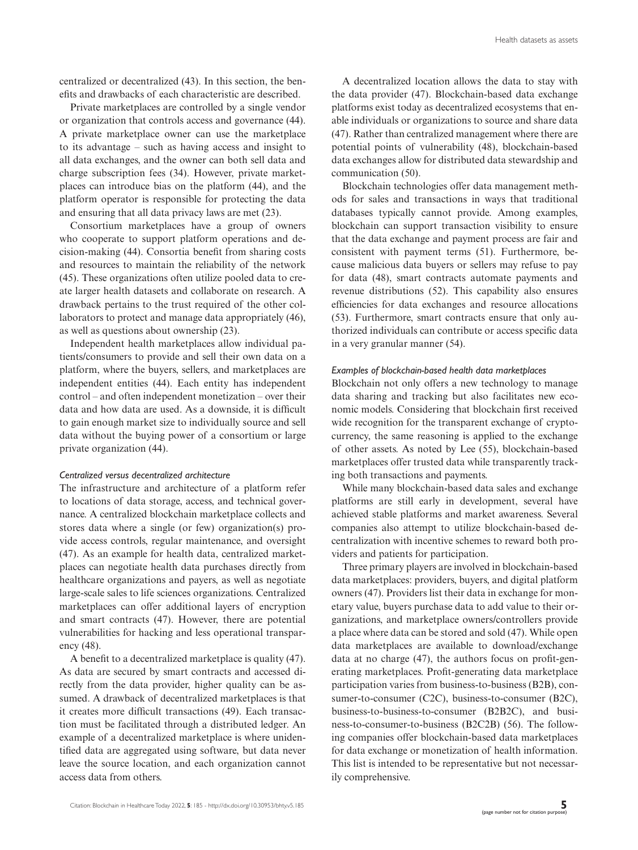centralized or decentralized (43). In this section, the benefits and drawbacks of each characteristic are described.

Private marketplaces are controlled by a single vendor or organization that controls access and governance (44). A private marketplace owner can use the marketplace to its advantage – such as having access and insight to all data exchanges, and the owner can both sell data and charge subscription fees (34). However, private marketplaces can introduce bias on the platform (44), and the platform operator is responsible for protecting the data and ensuring that all data privacy laws are met (23).

Consortium marketplaces have a group of owners who cooperate to support platform operations and decision-making (44). Consortia benefit from sharing costs and resources to maintain the reliability of the network (45). These organizations often utilize pooled data to create larger health datasets and collaborate on research. A drawback pertains to the trust required of the other collaborators to protect and manage data appropriately (46), as well as questions about ownership (23).

Independent health marketplaces allow individual patients/consumers to provide and sell their own data on a platform, where the buyers, sellers, and marketplaces are independent entities (44). Each entity has independent control – and often independent monetization – over their data and how data are used. As a downside, it is difficult to gain enough market size to individually source and sell data without the buying power of a consortium or large private organization (44).

## *Centralized versus decentralized architecture*

The infrastructure and architecture of a platform refer to locations of data storage, access, and technical governance. A centralized blockchain marketplace collects and stores data where a single (or few) organization(s) provide access controls, regular maintenance, and oversight (47). As an example for health data, centralized marketplaces can negotiate health data purchases directly from healthcare organizations and payers, as well as negotiate large-scale sales to life sciences organizations. Centralized marketplaces can offer additional layers of encryption and smart contracts (47). However, there are potential vulnerabilities for hacking and less operational transparency (48).

A benefit to a decentralized marketplace is quality (47). As data are secured by smart contracts and accessed directly from the data provider, higher quality can be assumed. A drawback of decentralized marketplaces is that it creates more difficult transactions (49). Each transaction must be facilitated through a distributed ledger. An example of a decentralized marketplace is where unidentified data are aggregated using software, but data never leave the source location, and each organization cannot access data from others.

A decentralized location allows the data to stay with the data provider (47). Blockchain-based data exchange platforms exist today as decentralized ecosystems that enable individuals or organizations to source and share data (47). Rather than centralized management where there are potential points of vulnerability (48), blockchain-based data exchanges allow for distributed data stewardship and communication (50).

Blockchain technologies offer data management methods for sales and transactions in ways that traditional databases typically cannot provide. Among examples, blockchain can support transaction visibility to ensure that the data exchange and payment process are fair and consistent with payment terms (51). Furthermore, because malicious data buyers or sellers may refuse to pay for data (48), smart contracts automate payments and revenue distributions (52). This capability also ensures efficiencies for data exchanges and resource allocations (53). Furthermore, smart contracts ensure that only authorized individuals can contribute or access specific data in a very granular manner (54).

#### *Examples of blockchain-based health data marketplaces*

Blockchain not only offers a new technology to manage data sharing and tracking but also facilitates new economic models. Considering that blockchain first received wide recognition for the transparent exchange of cryptocurrency, the same reasoning is applied to the exchange of other assets. As noted by Lee (55), blockchain-based marketplaces offer trusted data while transparently tracking both transactions and payments.

While many blockchain-based data sales and exchange platforms are still early in development, several have achieved stable platforms and market awareness. Several companies also attempt to utilize blockchain-based decentralization with incentive schemes to reward both providers and patients for participation.

Three primary players are involved in blockchain-based data marketplaces: providers, buyers, and digital platform owners (47). Providers list their data in exchange for monetary value, buyers purchase data to add value to their organizations, and marketplace owners/controllers provide a place where data can be stored and sold (47). While open data marketplaces are available to download/exchange data at no charge (47), the authors focus on profit-generating marketplaces. Profit-generating data marketplace participation varies from business-to-business (B2B), consumer-to-consumer (C2C), business-to-consumer (B2C), business-to-business-to-consumer (B2B2C), and business-to-consumer-to-business (B2C2B) (56). The following companies offer blockchain-based data marketplaces for data exchange or monetization of health information. This list is intended to be representative but not necessarily comprehensive.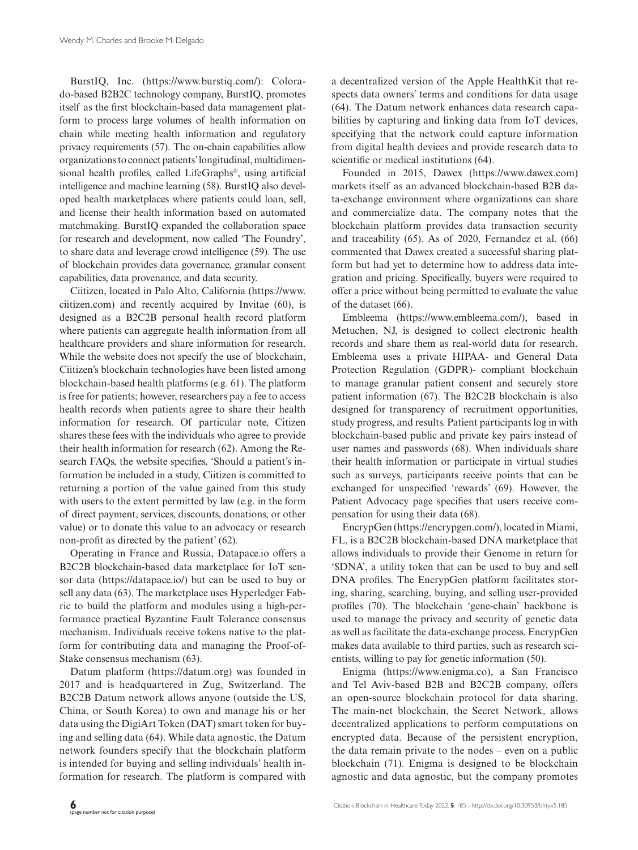BurstIQ, Inc. [\(https://www.burstiq.com/](https://www.burstiq.com/)): Colorado-based B2B2C technology company, BurstIQ, promotes itself as the first blockchain-based data management platform to process large volumes of health information on chain while meeting health information and regulatory privacy requirements (57). The on-chain capabilities allow organizations to connect patients' longitudinal, multidimensional health profiles, called LifeGraphs®, using artificial intelligence and machine learning (58). BurstIQ also developed health marketplaces where patients could loan, sell, and license their health information based on automated matchmaking. BurstIQ expanded the collaboration space for research and development, now called 'The Foundry', to share data and leverage crowd intelligence (59). The use of blockchain provides data governance, granular consent capabilities, data provenance, and data security.

Ciitizen, located in Palo Alto, California [\(https://www.](https://www.ciitizen.com) [ciitizen.com](https://www.ciitizen.com)) and recently acquired by Invitae (60), is designed as a B2C2B personal health record platform where patients can aggregate health information from all healthcare providers and share information for research. While the website does not specify the use of blockchain, Ciitizen's blockchain technologies have been listed among blockchain-based health platforms (e.g. 61). The platform is free for patients; however, researchers pay a fee to access health records when patients agree to share their health information for research. Of particular note, Citizen shares these fees with the individuals who agree to provide their health information for research (62). Among the Research FAQs, the website specifies, 'Should a patient's information be included in a study, Ciitizen is committed to returning a portion of the value gained from this study with users to the extent permitted by law (e.g. in the form of direct payment, services, discounts, donations, or other value) or to donate this value to an advocacy or research non-profit as directed by the patient' (62).

Operating in France and Russia, [Datapace.io](http://Datapace.io) offers a B2C2B blockchain-based data marketplace for IoT sensor data [\(https://datapace.io/](https://datapace.io/)) but can be used to buy or sell any data (63). The marketplace uses Hyperledger Fabric to build the platform and modules using a high-performance practical Byzantine Fault Tolerance consensus mechanism. Individuals receive tokens native to the platform for contributing data and managing the Proof-of-Stake consensus mechanism (63).

Datum platform (<https://datum.org>) was founded in 2017 and is headquartered in Zug, Switzerland. The B2C2B Datum network allows anyone (outside the US, China, or South Korea) to own and manage his or her data using the DigiArt Token (DAT) smart token for buying and selling data (64). While data agnostic, the Datum network founders specify that the blockchain platform is intended for buying and selling individuals' health information for research. The platform is compared with

a decentralized version of the Apple HealthKit that respects data owners' terms and conditions for data usage (64). The Datum network enhances data research capabilities by capturing and linking data from IoT devices, specifying that the network could capture information from digital health devices and provide research data to scientific or medical institutions (64).

Founded in 2015, Dawex [\(https://www.dawex.com\)](https://www.dawex.com) markets itself as an advanced blockchain-based B2B data-exchange environment where organizations can share and commercialize data. The company notes that the blockchain platform provides data transaction security and traceability (65). As of 2020, Fernandez et al. (66) commented that Dawex created a successful sharing platform but had yet to determine how to address data integration and pricing. Specifically, buyers were required to offer a price without being permitted to evaluate the value of the dataset (66).

Embleema (<https://www.embleema.com/>), based in Metuchen, NJ, is designed to collect electronic health records and share them as real-world data for research. Embleema uses a private HIPAA- and General Data Protection Regulation (GDPR)- compliant blockchain to manage granular patient consent and securely store patient information (67). The B2C2B blockchain is also designed for transparency of recruitment opportunities, study progress, and results. Patient participants log in with blockchain-based public and private key pairs instead of user names and passwords (68). When individuals share their health information or participate in virtual studies such as surveys, participants receive points that can be exchanged for unspecified 'rewards' (69). However, the Patient Advocacy page specifies that users receive compensation for using their data (68).

EncrypGen (<https://encrypgen.com/>), located in Miami, FL, is a B2C2B blockchain-based DNA marketplace that allows individuals to provide their Genome in return for '\$DNA', a utility token that can be used to buy and sell DNA profiles. The EncrypGen platform facilitates storing, sharing, searching, buying, and selling user-provided profiles (70). The blockchain 'gene-chain' backbone is used to manage the privacy and security of genetic data as well as facilitate the data-exchange process. EncrypGen makes data available to third parties, such as research scientists, willing to pay for genetic information (50).

Enigma ([https://www.enigma.co\)](https://www.enigma.co), a San Francisco and Tel Aviv-based B2B and B2C2B company, offers an open-source blockchain protocol for data sharing. The main-net blockchain, the Secret Network, allows decentralized applications to perform computations on encrypted data. Because of the persistent encryption, the data remain private to the nodes – even on a public blockchain (71). Enigma is designed to be blockchain agnostic and data agnostic, but the company promotes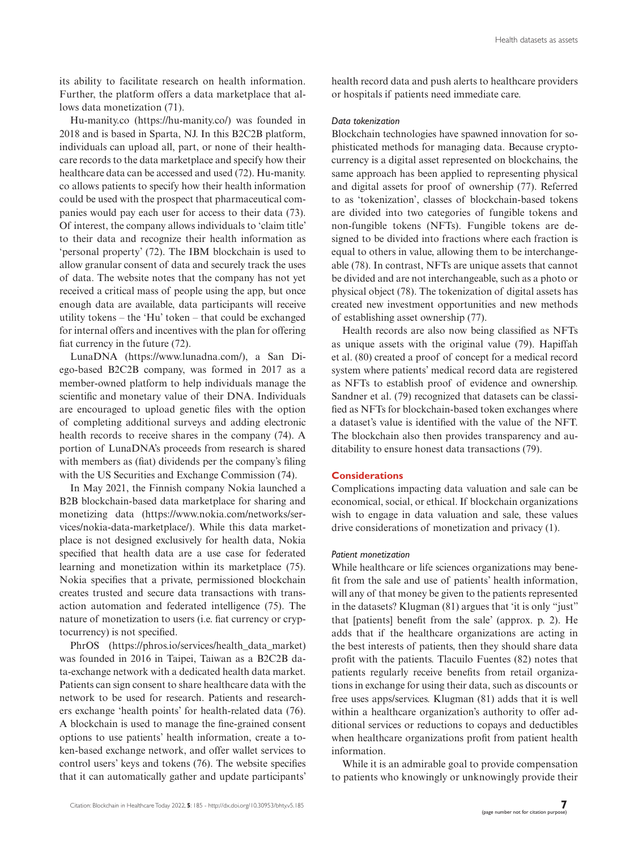its ability to facilitate research on health information. Further, the platform offers a data marketplace that allows data monetization (71).

[Hu-manity.co](http://Hu-manity.co) ([https://hu-manity.co/\)](https://hu-manity.co/) was founded in 2018 and is based in Sparta, NJ. In this B2C2B platform, individuals can upload all, part, or none of their healthcare records to the data marketplace and specify how their healthcare data can be accessed and used (72). [Hu-manity.](http://Hu-manity.co) [co](http://Hu-manity.co) allows patients to specify how their health information could be used with the prospect that pharmaceutical companies would pay each user for access to their data (73). Of interest, the company allows individuals to 'claim title' to their data and recognize their health information as 'personal property' (72). The IBM blockchain is used to allow granular consent of data and securely track the uses of data. The website notes that the company has not yet received a critical mass of people using the app, but once enough data are available, data participants will receive utility tokens – the 'Hu' token – that could be exchanged for internal offers and incentives with the plan for offering fiat currency in the future (72).

LunaDNA ([https://www.lunadna.com/\)](https://www.lunadna.com/), a San Diego-based B2C2B company, was formed in 2017 as a member-owned platform to help individuals manage the scientific and monetary value of their DNA. Individuals are encouraged to upload genetic files with the option of completing additional surveys and adding electronic health records to receive shares in the company (74). A portion of LunaDNA's proceeds from research is shared with members as (fiat) dividends per the company's filing with the US Securities and Exchange Commission (74).

In May 2021, the Finnish company Nokia launched a B2B blockchain-based data marketplace for sharing and monetizing data ([https://www.nokia.com/networks/ser](https://www.nokia.com/networks/services/nokia-data-marketplace/)[vices/nokia-data-marketplace/](https://www.nokia.com/networks/services/nokia-data-marketplace/)). While this data marketplace is not designed exclusively for health data, Nokia specified that health data are a use case for federated learning and monetization within its marketplace (75). Nokia specifies that a private, permissioned blockchain creates trusted and secure data transactions with transaction automation and federated intelligence (75). The nature of monetization to users (i.e. fiat currency or cryptocurrency) is not specified.

PhrOS ([https://phros.io/services/health\\_data\\_market](https://phros.io/services/health_data_market)) was founded in 2016 in Taipei, Taiwan as a B2C2B data-exchange network with a dedicated health data market. Patients can sign consent to share healthcare data with the network to be used for research. Patients and researchers exchange 'health points' for health-related data (76). A blockchain is used to manage the fine-grained consent options to use patients' health information, create a token-based exchange network, and offer wallet services to control users' keys and tokens (76). The website specifies that it can automatically gather and update participants'

health record data and push alerts to healthcare providers or hospitals if patients need immediate care.

#### *Data tokenization*

Blockchain technologies have spawned innovation for sophisticated methods for managing data. Because cryptocurrency is a digital asset represented on blockchains, the same approach has been applied to representing physical and digital assets for proof of ownership (77). Referred to as 'tokenization', classes of blockchain-based tokens are divided into two categories of fungible tokens and non-fungible tokens (NFTs). Fungible tokens are designed to be divided into fractions where each fraction is equal to others in value, allowing them to be interchangeable (78). In contrast, NFTs are unique assets that cannot be divided and are not interchangeable, such as a photo or physical object (78). The tokenization of digital assets has created new investment opportunities and new methods of establishing asset ownership (77).

Health records are also now being classified as NFTs as unique assets with the original value (79). Hapiffah et al. (80) created a proof of concept for a medical record system where patients' medical record data are registered as NFTs to establish proof of evidence and ownership. Sandner et al. (79) recognized that datasets can be classified as NFTs for blockchain-based token exchanges where a dataset's value is identified with the value of the NFT. The blockchain also then provides transparency and auditability to ensure honest data transactions (79).

# **Considerations**

Complications impacting data valuation and sale can be economical, social, or ethical. If blockchain organizations wish to engage in data valuation and sale, these values drive considerations of monetization and privacy (1).

## *Patient monetization*

While healthcare or life sciences organizations may benefit from the sale and use of patients' health information, will any of that money be given to the patients represented in the datasets? Klugman (81) argues that 'it is only "just" that [patients] benefit from the sale' (approx. p. 2). He adds that if the healthcare organizations are acting in the best interests of patients, then they should share data profit with the patients. Tlacuilo Fuentes (82) notes that patients regularly receive benefits from retail organizations in exchange for using their data, such as discounts or free uses apps/services. Klugman (81) adds that it is well within a healthcare organization's authority to offer additional services or reductions to copays and deductibles when healthcare organizations profit from patient health information.

While it is an admirable goal to provide compensation to patients who knowingly or unknowingly provide their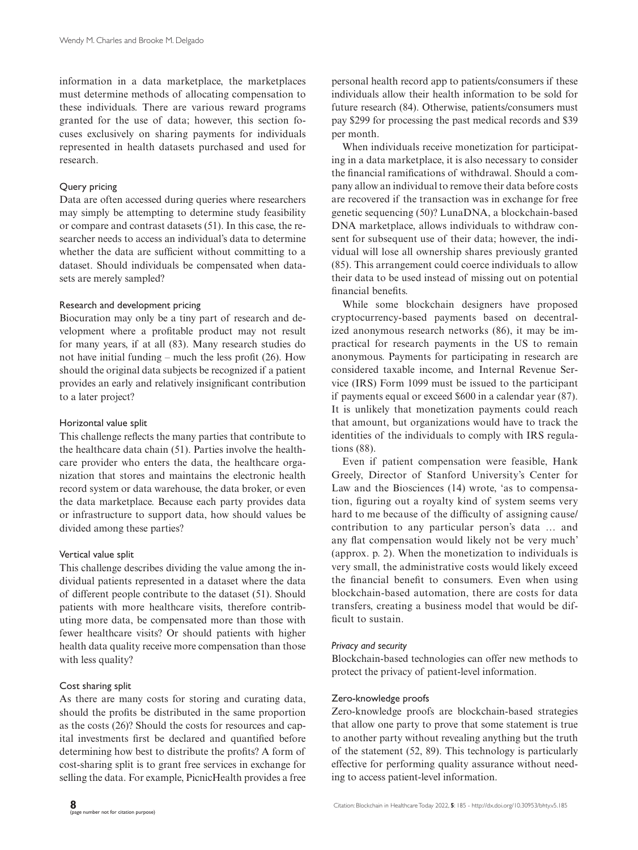information in a data marketplace, the marketplaces must determine methods of allocating compensation to these individuals. There are various reward programs granted for the use of data; however, this section focuses exclusively on sharing payments for individuals represented in health datasets purchased and used for research.

# Query pricing

Data are often accessed during queries where researchers may simply be attempting to determine study feasibility or compare and contrast datasets (51). In this case, the researcher needs to access an individual's data to determine whether the data are sufficient without committing to a dataset. Should individuals be compensated when datasets are merely sampled?

## Research and development pricing

Biocuration may only be a tiny part of research and development where a profitable product may not result for many years, if at all (83). Many research studies do not have initial funding – much the less profit (26). How should the original data subjects be recognized if a patient provides an early and relatively insignificant contribution to a later project?

## Horizontal value split

This challenge reflects the many parties that contribute to the healthcare data chain (51). Parties involve the healthcare provider who enters the data, the healthcare organization that stores and maintains the electronic health record system or data warehouse, the data broker, or even the data marketplace. Because each party provides data or infrastructure to support data, how should values be divided among these parties?

# Vertical value split

This challenge describes dividing the value among the individual patients represented in a dataset where the data of different people contribute to the dataset (51). Should patients with more healthcare visits, therefore contributing more data, be compensated more than those with fewer healthcare visits? Or should patients with higher health data quality receive more compensation than those with less quality?

# Cost sharing split

As there are many costs for storing and curating data, should the profits be distributed in the same proportion as the costs (26)? Should the costs for resources and capital investments first be declared and quantified before determining how best to distribute the profits? A form of cost-sharing split is to grant free services in exchange for selling the data. For example, PicnicHealth provides a free personal health record app to patients/consumers if these individuals allow their health information to be sold for future research (84). Otherwise, patients/consumers must pay \$299 for processing the past medical records and \$39 per month.

When individuals receive monetization for participating in a data marketplace, it is also necessary to consider the financial ramifications of withdrawal. Should a company allow an individual to remove their data before costs are recovered if the transaction was in exchange for free genetic sequencing (50)? LunaDNA, a blockchain-based DNA marketplace, allows individuals to withdraw consent for subsequent use of their data; however, the individual will lose all ownership shares previously granted (85). This arrangement could coerce individuals to allow their data to be used instead of missing out on potential financial benefits.

While some blockchain designers have proposed cryptocurrency-based payments based on decentralized anonymous research networks (86), it may be impractical for research payments in the US to remain anonymous. Payments for participating in research are considered taxable income, and Internal Revenue Service (IRS) Form 1099 must be issued to the participant if payments equal or exceed \$600 in a calendar year (87). It is unlikely that monetization payments could reach that amount, but organizations would have to track the identities of the individuals to comply with IRS regulations (88).

Even if patient compensation were feasible, Hank Greely, Director of Stanford University's Center for Law and the Biosciences (14) wrote, 'as to compensation, figuring out a royalty kind of system seems very hard to me because of the difficulty of assigning cause/ contribution to any particular person's data … and any flat compensation would likely not be very much' (approx. p. 2). When the monetization to individuals is very small, the administrative costs would likely exceed the financial benefit to consumers. Even when using blockchain-based automation, there are costs for data transfers, creating a business model that would be difficult to sustain.

## *Privacy and security*

Blockchain-based technologies can offer new methods to protect the privacy of patient-level information.

# Zero-knowledge proofs

Zero-knowledge proofs are blockchain-based strategies that allow one party to prove that some statement is true to another party without revealing anything but the truth of the statement (52, 89). This technology is particularly effective for performing quality assurance without needing to access patient-level information.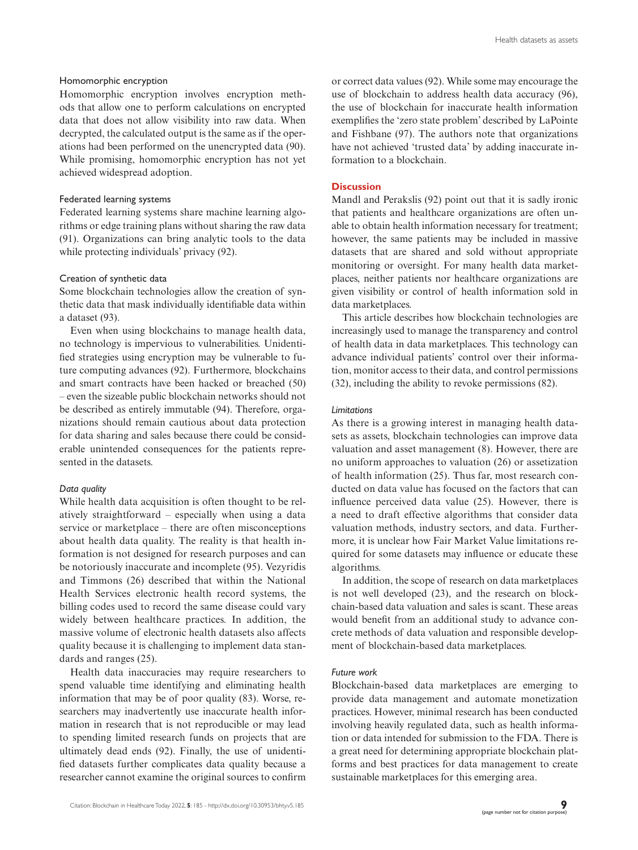## Homomorphic encryption

Homomorphic encryption involves encryption methods that allow one to perform calculations on encrypted data that does not allow visibility into raw data. When decrypted, the calculated output is the same as if the operations had been performed on the unencrypted data (90). While promising, homomorphic encryption has not yet achieved widespread adoption.

## Federated learning systems

Federated learning systems share machine learning algorithms or edge training plans without sharing the raw data (91). Organizations can bring analytic tools to the data while protecting individuals' privacy (92).

## Creation of synthetic data

Some blockchain technologies allow the creation of synthetic data that mask individually identifiable data within a dataset (93).

Even when using blockchains to manage health data, no technology is impervious to vulnerabilities. Unidentified strategies using encryption may be vulnerable to future computing advances (92). Furthermore, blockchains and smart contracts have been hacked or breached (50) – even the sizeable public blockchain networks should not be described as entirely immutable (94). Therefore, organizations should remain cautious about data protection for data sharing and sales because there could be considerable unintended consequences for the patients represented in the datasets.

# *Data quality*

While health data acquisition is often thought to be relatively straightforward – especially when using a data service or marketplace – there are often misconceptions about health data quality. The reality is that health information is not designed for research purposes and can be notoriously inaccurate and incomplete (95). Vezyridis and Timmons (26) described that within the National Health Services electronic health record systems, the billing codes used to record the same disease could vary widely between healthcare practices. In addition, the massive volume of electronic health datasets also affects quality because it is challenging to implement data standards and ranges (25).

Health data inaccuracies may require researchers to spend valuable time identifying and eliminating health information that may be of poor quality (83). Worse, researchers may inadvertently use inaccurate health information in research that is not reproducible or may lead to spending limited research funds on projects that are ultimately dead ends (92). Finally, the use of unidentified datasets further complicates data quality because a researcher cannot examine the original sources to confirm

or correct data values (92). While some may encourage the use of blockchain to address health data accuracy (96), the use of blockchain for inaccurate health information exemplifies the 'zero state problem' described by LaPointe and Fishbane (97). The authors note that organizations have not achieved 'trusted data' by adding inaccurate information to a blockchain.

# **Discussion**

Mandl and Perakslis (92) point out that it is sadly ironic that patients and healthcare organizations are often unable to obtain health information necessary for treatment; however, the same patients may be included in massive datasets that are shared and sold without appropriate monitoring or oversight. For many health data marketplaces, neither patients nor healthcare organizations are given visibility or control of health information sold in data marketplaces.

This article describes how blockchain technologies are increasingly used to manage the transparency and control of health data in data marketplaces. This technology can advance individual patients' control over their information, monitor access to their data, and control permissions (32), including the ability to revoke permissions (82).

#### *Limitations*

As there is a growing interest in managing health datasets as assets, blockchain technologies can improve data valuation and asset management (8). However, there are no uniform approaches to valuation (26) or assetization of health information (25). Thus far, most research conducted on data value has focused on the factors that can influence perceived data value (25). However, there is a need to draft effective algorithms that consider data valuation methods, industry sectors, and data. Furthermore, it is unclear how Fair Market Value limitations required for some datasets may influence or educate these algorithms.

In addition, the scope of research on data marketplaces is not well developed (23), and the research on blockchain-based data valuation and sales is scant. These areas would benefit from an additional study to advance concrete methods of data valuation and responsible development of blockchain-based data marketplaces.

# *Future work*

Blockchain-based data marketplaces are emerging to provide data management and automate monetization practices. However, minimal research has been conducted involving heavily regulated data, such as health information or data intended for submission to the FDA. There is a great need for determining appropriate blockchain platforms and best practices for data management to create sustainable marketplaces for this emerging area.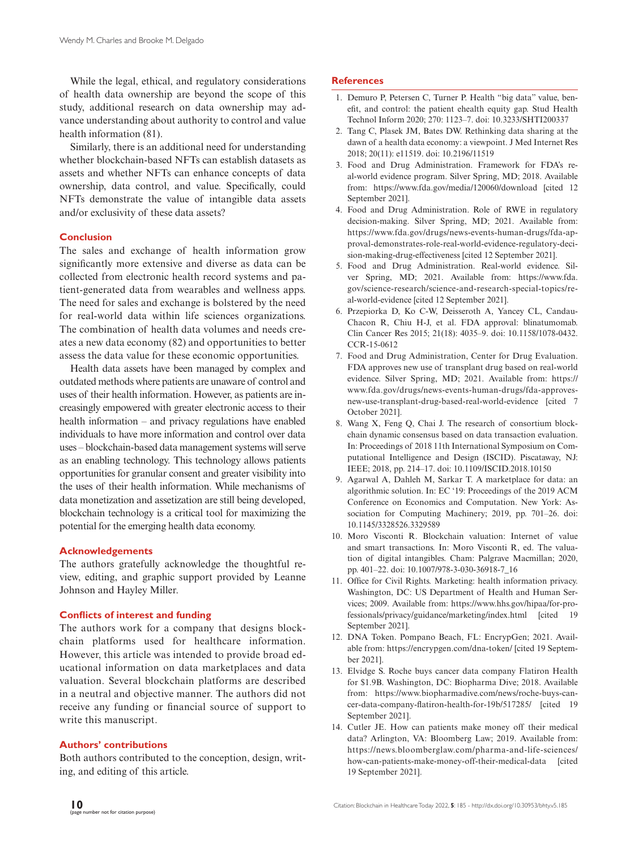While the legal, ethical, and regulatory considerations of health data ownership are beyond the scope of this study, additional research on data ownership may advance understanding about authority to control and value health information (81).

Similarly, there is an additional need for understanding whether blockchain-based NFTs can establish datasets as assets and whether NFTs can enhance concepts of data ownership, data control, and value. Specifically, could NFTs demonstrate the value of intangible data assets and/or exclusivity of these data assets?

## **Conclusion**

The sales and exchange of health information grow significantly more extensive and diverse as data can be collected from electronic health record systems and patient-generated data from wearables and wellness apps. The need for sales and exchange is bolstered by the need for real-world data within life sciences organizations. The combination of health data volumes and needs creates a new data economy (82) and opportunities to better assess the data value for these economic opportunities.

Health data assets have been managed by complex and outdated methods where patients are unaware of control and uses of their health information. However, as patients are increasingly empowered with greater electronic access to their health information – and privacy regulations have enabled individuals to have more information and control over data uses – blockchain-based data management systems will serve as an enabling technology. This technology allows patients opportunities for granular consent and greater visibility into the uses of their health information. While mechanisms of data monetization and assetization are still being developed, blockchain technology is a critical tool for maximizing the potential for the emerging health data economy.

## **Acknowledgements**

The authors gratefully acknowledge the thoughtful review, editing, and graphic support provided by Leanne Johnson and Hayley Miller.

## **Conflicts of interest and funding**

The authors work for a company that designs blockchain platforms used for healthcare information. However, this article was intended to provide broad educational information on data marketplaces and data valuation. Several blockchain platforms are described in a neutral and objective manner. The authors did not receive any funding or financial source of support to write this manuscript.

## **Authors' contributions**

Both authors contributed to the conception, design, writing, and editing of this article.

## **References**

- 1. Demuro P, Petersen C, Turner P. Health "big data" value, benefit, and control: the patient ehealth equity gap. Stud Health Technol Inform 2020; 270: 1123–7. doi: [10.3233/SHTI200337](http://doi.org/10.3233/SHTI200337)
- 2. Tang C, Plasek JM, Bates DW. Rethinking data sharing at the dawn of a health data economy: a viewpoint. J Med Internet Res 2018; 20(11): e11519. doi: [10.2196/11519](https://doi.org/10.2196/11519)
- 3. Food and Drug Administration. Framework for FDA's real-world evidence program. Silver Spring, MD; 2018. Available from: <https://www.fda.gov/media/120060/download>[cited 12 September 2021].
- 4. Food and Drug Administration. Role of RWE in regulatory decision-making. Silver Spring, MD; 2021. Available from: [https://www.fda.gov/drugs/news-events-human-drugs/fda-ap](https://www.fda.gov/drugs/news-events-human-drugs/fda-approval-demonstrates-role-real-world-evidence-regulatory-decision-making-drug-effectiveness)[proval-demonstrates-role-real-world-evidence-regulatory-deci](https://www.fda.gov/drugs/news-events-human-drugs/fda-approval-demonstrates-role-real-world-evidence-regulatory-decision-making-drug-effectiveness)[sion-making-drug-effectiveness](https://www.fda.gov/drugs/news-events-human-drugs/fda-approval-demonstrates-role-real-world-evidence-regulatory-decision-making-drug-effectiveness) [cited 12 September 2021].
- 5. Food and Drug Administration. Real-world evidence. Silver Spring, MD; 2021. Available from: [https://www.fda.](https://www.fda.gov/science-research/science-and-research-special-topics/real-world-evidence) [gov/science-research/science-and-research-special-topics/re](https://www.fda.gov/science-research/science-and-research-special-topics/real-world-evidence)[al-world-evidence](https://www.fda.gov/science-research/science-and-research-special-topics/real-world-evidence) [cited 12 September 2021].
- 6. Przepiorka D, Ko C-W, Deisseroth A, Yancey CL, Candau-Chacon R, Chiu H-J, et al. FDA approval: blinatumomab. Clin Cancer Res 2015; 21(18): 4035–9. doi: [10.1158/1078-0432.](https://doi.org/10.1158/1078-0432.CCR-15-0612) [CCR-15-0612](https://doi.org/10.1158/1078-0432.CCR-15-0612)
- 7. Food and Drug Administration, Center for Drug Evaluation. FDA approves new use of transplant drug based on real-world evidence. Silver Spring, MD; 2021. Available from: [https://](https://www.fda.gov/drugs/news-events-human-drugs/fda-approves-new-use-transplant-drug-based-real-world-evidence) [www.fda.gov/drugs/news-events-human-drugs/fda-approves](https://www.fda.gov/drugs/news-events-human-drugs/fda-approves-new-use-transplant-drug-based-real-world-evidence)[new-use-transplant-drug-based-real-world-evidence](https://www.fda.gov/drugs/news-events-human-drugs/fda-approves-new-use-transplant-drug-based-real-world-evidence) [cited 7 October 2021].
- 8. Wang X, Feng Q, Chai J. The research of consortium blockchain dynamic consensus based on data transaction evaluation. In: Proceedings of 2018 11th International Symposium on Computational Intelligence and Design (ISCID). Piscataway, NJ: IEEE; 2018, pp. 214–17. doi: [10.1109/ISCID.2018.10150](https://doi.org/10.1109/ISCID.2018.10150)
- 9. Agarwal A, Dahleh M, Sarkar T. A marketplace for data: an algorithmic solution. In: EC '19: Proceedings of the 2019 ACM Conference on Economics and Computation. New York: Association for Computing Machinery; 2019, pp. 701–26. doi: [10.1145/3328526.3329589](https://doi.org/10.1145/3328526.3329589)
- 10. Moro Visconti R. Blockchain valuation: Internet of value and smart transactions. In: Moro Visconti R, ed. The valuation of digital intangibles. Cham: Palgrave Macmillan; 2020, pp. 401–22. doi: [10.1007/978-3-030-36918-7\\_16](https://doi.org/10.1007/978-3-030-36918-7_16)
- 11. Office for Civil Rights. Marketing: health information privacy. Washington, DC: US Department of Health and Human Services; 2009. Available from: [https://www.hhs.gov/hipaa/for-pro](https://www.hhs.gov/hipaa/for-professionals/privacy/guidance/marketing/index.html)[fessionals/privacy/guidance/marketing/index.html](https://www.hhs.gov/hipaa/for-professionals/privacy/guidance/marketing/index.html) [cited 19 September 2021].
- 12. DNA Token. Pompano Beach, FL: EncrypGen; 2021. Available from:<https://encrypgen.com/dna-token/> [cited 19 September 2021].
- 13. Elvidge S. Roche buys cancer data company Flatiron Health for \$1.9B. Washington, DC: Biopharma Dive; 2018. Available from: [https://www.biopharmadive.com/news/roche-buys-can](https://www.biopharmadive.com/news/roche-buys-cancer-data-company-flatiron-health-for-19b/517285/)[cer-data-company-flatiron-health-for-19b/517285/](https://www.biopharmadive.com/news/roche-buys-cancer-data-company-flatiron-health-for-19b/517285/) [cited 19 September 2021].
- 14. Cutler JE. How can patients make money off their medical data? Arlington, VA: Bloomberg Law; 2019. Available from: [https://news.bloomberglaw.com/pharma-and-life-sciences/](https://news.bloomberglaw.com/pharma-and-life-sciences/how-can-patients-make-money-off-their-medical-data) [how-can-patients-make-money-off-their-medical-data](https://news.bloomberglaw.com/pharma-and-life-sciences/how-can-patients-make-money-off-their-medical-data) [cited] 19 September 2021].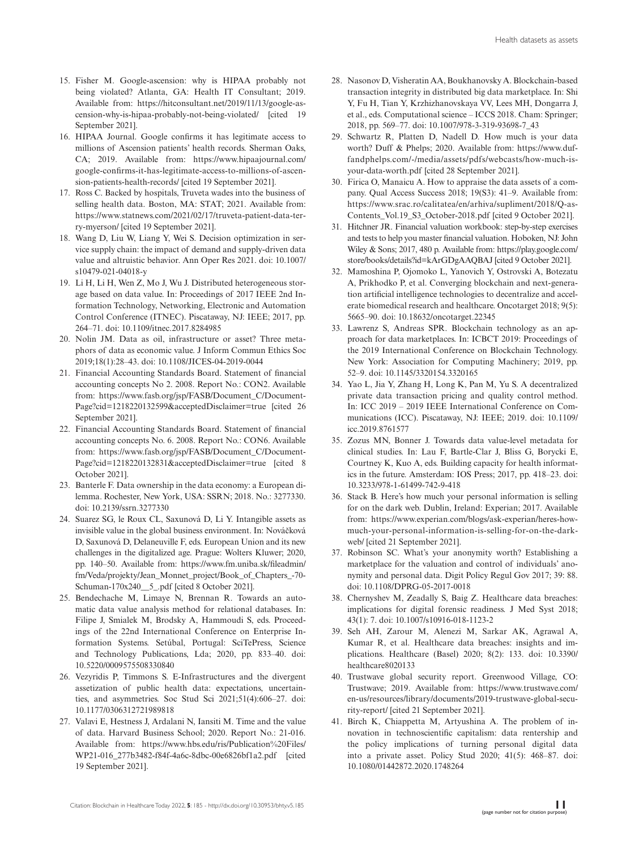- 15. Fisher M. Google-ascension: why is HIPAA probably not being violated? Atlanta, GA: Health IT Consultant; 2019. Available from: [https://hitconsultant.net/2019/11/13/google-as](https://hitconsultant.net/2019/11/13/google-ascension-why-is-hipaa-probably-not-being-violated/)[cension-why-is-hipaa-probably-not-being-violated/](https://hitconsultant.net/2019/11/13/google-ascension-why-is-hipaa-probably-not-being-violated/) [cited 19 September 2021].
- 16. HIPAA Journal. Google confirms it has legitimate access to millions of Ascension patients' health records. Sherman Oaks, CA; 2019. Available from: [https://www.hipaajournal.com/](https://www.hipaajournal.com/google-confirms-it-has-legitimate-access-to-millions-of-ascension-patients-health-records/) [google-confirms-it-has-legitimate-access-to-millions-of-ascen](https://www.hipaajournal.com/google-confirms-it-has-legitimate-access-to-millions-of-ascension-patients-health-records/)[sion-patients-health-records/](https://www.hipaajournal.com/google-confirms-it-has-legitimate-access-to-millions-of-ascension-patients-health-records/) [cited 19 September 2021].
- 17. Ross C. Backed by hospitals, Truveta wades into the business of selling health data. Boston, MA: STAT; 2021. Available from: [https://www.statnews.com/2021/02/17/truveta-patient-data-ter](https://www.statnews.com/2021/02/17/truveta-patient-data-terry-myerson/)[ry-myerson/](https://www.statnews.com/2021/02/17/truveta-patient-data-terry-myerson/) [cited 19 September 2021].
- 18. Wang D, Liu W, Liang Y, Wei S. Decision optimization in service supply chain: the impact of demand and supply-driven data value and altruistic behavior. Ann Oper Res 2021. doi: [10.1007/](https://doi.org/10.1007/s10479-021-04018-y) [s10479-021-04018-y](https://doi.org/10.1007/s10479-021-04018-y)
- 19. Li H, Li H, Wen Z, Mo J, Wu J. Distributed heterogeneous storage based on data value. In: Proceedings of 2017 IEEE 2nd Information Technology, Networking, Electronic and Automation Control Conference (ITNEC). Piscataway, NJ: IEEE; 2017, pp. 264–71. doi: [10.1109/itnec.2017.8284985](https://doi.org/10.1109/itnec.2017.8284985)
- 20. Nolin JM. Data as oil, infrastructure or asset? Three metaphors of data as economic value. J Inform Commun Ethics Soc 2019;18(1):28–43. doi: [10.1108/JICES-04-2019-0044](https://doi.org/10.1108/JICES-04-2019-0044)
- 21. Financial Accounting Standards Board. Statement of financial accounting concepts No 2. 2008. Report No.: CON2. Available from: [https://www.fasb.org/jsp/FASB/Document\\_C/Document-](https://www.fasb.org/jsp/FASB/Document_C/DocumentPage?cid=1218220132599&acceptedDisclaimer=true)[Page?cid=1218220132599&acceptedDisclaimer=true](https://www.fasb.org/jsp/FASB/Document_C/DocumentPage?cid=1218220132599&acceptedDisclaimer=true) [cited 26 September 2021].
- 22. Financial Accounting Standards Board. Statement of financial accounting concepts No. 6. 2008. Report No.: CON6. Available from: [https://www.fasb.org/jsp/FASB/Document\\_C/Document-](https://www.fasb.org/jsp/FASB/Document_C/DocumentPage?cid=1218220132831&acceptedDisclaimer=true)[Page?cid=1218220132831&acceptedDisclaimer=true](https://www.fasb.org/jsp/FASB/Document_C/DocumentPage?cid=1218220132831&acceptedDisclaimer=true) [cited 8 October 2021].
- 23. Banterle F. Data ownership in the data economy: a European dilemma. Rochester, New York, USA: SSRN; 2018. No.: 3277330. doi: [10.2139/ssrn.3277330](https://doi.org/10.2139/ssrn.3277330)
- 24. Suarez SG, le Roux CL, Saxunová D, Li Y. Intangible assets as invisible value in the global business environment. In: Nováčková D, Saxunová D, Delaneuville F, eds. European Union and its new challenges in the digitalized age. Prague: Wolters Kluwer; 2020, pp. 140–50. Available from: [https://www.fm.uniba.sk/fileadmin/](https://www.fm.uniba.sk/fileadmin/fm/Veda/projekty/Jean_Monnet_project/Book_of_Chapters_-70-Schuman-170x240__5_.pdf) [fm/Veda/projekty/Jean\\_Monnet\\_project/Book\\_of\\_Chapters\\_-70-](https://www.fm.uniba.sk/fileadmin/fm/Veda/projekty/Jean_Monnet_project/Book_of_Chapters_-70-Schuman-170x240__5_.pdf) [Schuman-170x240\\_\\_5\\_.pdf](https://www.fm.uniba.sk/fileadmin/fm/Veda/projekty/Jean_Monnet_project/Book_of_Chapters_-70-Schuman-170x240__5_.pdf) [cited 8 October 2021].
- 25. Bendechache M, Limaye N, Brennan R. Towards an automatic data value analysis method for relational databases. In: Filipe J, Smialek M, Brodsky A, Hammoudi S, eds. Proceedings of the 22nd International Conference on Enterprise Information Systems. Setúbal, Portugal: SciTePress, Science and Technology Publications, Lda; 2020, pp. 833–40. doi: [10.5220/0009575508330840](https://doi.org/10.5220/0009575508330840)
- 26. Vezyridis P, Timmons S. E-Infrastructures and the divergent assetization of public health data: expectations, uncertainties, and asymmetries. Soc Stud Sci 2021;51(4):606–27. doi: [10.1177/0306312721989818](https://doi.org/10.1177/0306312721989818)
- 27. Valavi E, Hestness J, Ardalani N, Iansiti M. Time and the value of data. Harvard Business School; 2020. Report No.: 21-016. Available from: [https://www.hbs.edu/ris/Publication%20Files/](https://www.hbs.edu/ris/Publication%20Files/WP21-016_277b3482-f84f-4a6c-8dbc-00e6826bf1a2.pdf) [WP21-016\\_277b3482-f84f-4a6c-8dbc-00e6826bf1a2.pdf](https://www.hbs.edu/ris/Publication%20Files/WP21-016_277b3482-f84f-4a6c-8dbc-00e6826bf1a2.pdf) [cited] 19 September 2021].
- 28. Nasonov D, Visheratin AA, Boukhanovsky A. Blockchain-based transaction integrity in distributed big data marketplace. In: Shi Y, Fu H, Tian Y, Krzhizhanovskaya VV, Lees MH, Dongarra J, et al., eds. Computational science – ICCS 2018. Cham: Springer; 2018, pp. 569–77. doi: [10.1007/978-3-319-93698-7\\_43](https://doi.org/10.1007/978-3-319-93698-7_43)
- 29. Schwartz R, Platten D, Nadell D. How much is your data worth? Duff & Phelps; 2020. Available from: [https://www.duf](https://www.duffandphelps.com/-/media/assets/pdfs/webcasts/how-much-is-your-data-worth.pdf)[fandphelps.com/-/media/assets/pdfs/webcasts/how-much-is](https://www.duffandphelps.com/-/media/assets/pdfs/webcasts/how-much-is-your-data-worth.pdf)[your-data-worth.pdf](https://www.duffandphelps.com/-/media/assets/pdfs/webcasts/how-much-is-your-data-worth.pdf) [cited 28 September 2021].
- 30. Firica O, Manaicu A. How to appraise the data assets of a company. Qual Access Success 2018; 19(S3): 41–9. Available from: [https://www.srac.ro/calitatea/en/arhiva/supliment/2018/Q-as-](https://www.srac.ro/calitatea/en/arhiva/supliment/2018/Q-asContents_Vol.19_S3_October-2018.pdf)Contents Vol.19 S3 October-2018.pdf [cited 9 October 2021].
- 31. Hitchner JR. Financial valuation workbook: step-by-step exercises and tests to help you master financial valuation. Hoboken, NJ: John Wiley & Sons; 2017, 480 p. Available from: [https://play.google.com/](https://play.google.com/store/books/details?id=kArGDgAAQBAJ) [store/books/details?id=kArGDgAAQBAJ](https://play.google.com/store/books/details?id=kArGDgAAQBAJ) [cited 9 October 2021].
- 32. Mamoshina P, Ojomoko L, Yanovich Y, Ostrovski A, Botezatu A, Prikhodko P, et al. Converging blockchain and next-generation artificial intelligence technologies to decentralize and accelerate biomedical research and healthcare. Oncotarget 2018; 9(5): 5665–90. doi: [10.18632/oncotarget.22345](https://doi.org/10.18632/oncotarget.22345)
- 33. Lawrenz S, Andreas SPR. Blockchain technology as an approach for data marketplaces. In: ICBCT 2019: Proceedings of the 2019 International Conference on Blockchain Technology. New York: Association for Computing Machinery; 2019, pp. 52–9. doi: [10.1145/3320154.3320165](https://doi.org/10.1145/3320154.3320165)
- 34. Yao L, Jia Y, Zhang H, Long K, Pan M, Yu S. A decentralized private data transaction pricing and quality control method. In: ICC 2019 – 2019 IEEE International Conference on Communications (ICC). Piscataway, NJ: IEEE; 2019. doi: [10.1109/](https://doi.org/10.1109/icc.2019.8761577) [icc.2019.8761577](https://doi.org/10.1109/icc.2019.8761577)
- 35. Zozus MN, Bonner J. Towards data value-level metadata for clinical studies. In: Lau F, Bartle-Clar J, Bliss G, Borycki E, Courtney K, Kuo A, eds. Building capacity for health informatics in the future. Amsterdam: IOS Press; 2017, pp. 418–23. doi: [10.3233/978-1-61499-742-9-418](https://doi.org/10.3233/978-1-61499-742-9-418)
- 36. Stack B. Here's how much your personal information is selling for on the dark web. Dublin, Ireland: Experian; 2017. Available from: [https://www.experian.com/blogs/ask-experian/heres-how](https://www.experian.com/blogs/ask-experian/heres-how-much-your-personal-information-is-selling-for-on-the-dark-web/)[much-your-personal-information-is-selling-for-on-the-dark](https://www.experian.com/blogs/ask-experian/heres-how-much-your-personal-information-is-selling-for-on-the-dark-web/)[web/](https://www.experian.com/blogs/ask-experian/heres-how-much-your-personal-information-is-selling-for-on-the-dark-web/) [cited 21 September 2021].
- 37. Robinson SC. What's your anonymity worth? Establishing a marketplace for the valuation and control of individuals' anonymity and personal data. Digit Policy Regul Gov 2017; 39: 88. doi: [10.1108/DPRG-05-2017-0018](https://doi.org/10.1108/DPRG-05-2017-0018)
- 38. Chernyshev M, Zeadally S, Baig Z. Healthcare data breaches: implications for digital forensic readiness. J Med Syst 2018; 43(1): 7. doi: [10.1007/s10916-018-1123-2](https://doi.org/10.1007/s10916-018-1123-2)
- 39. Seh AH, Zarour M, Alenezi M, Sarkar AK, Agrawal A, Kumar R, et al. Healthcare data breaches: insights and implications. Healthcare (Basel) 2020; 8(2): 133. doi: [10.3390/](https://doi.org/10.3390/healthcare8020133) [healthcare8020133](https://doi.org/10.3390/healthcare8020133)
- 40. Trustwave global security report. Greenwood Village, CO: Trustwave; 2019. Available from: [https://www.trustwave.com/](https://www.trustwave.com/en-us/resources/library/documents/2019-trustwave-global-security-report/) [en-us/resources/library/documents/2019-trustwave-global-secu](https://www.trustwave.com/en-us/resources/library/documents/2019-trustwave-global-security-report/)[rity-report/](https://www.trustwave.com/en-us/resources/library/documents/2019-trustwave-global-security-report/) [cited 21 September 2021].
- 41. Birch K, Chiappetta M, Artyushina A. The problem of innovation in technoscientific capitalism: data rentership and the policy implications of turning personal digital data into a private asset. Policy Stud 2020; 41(5): 468–87. doi: [10.1080/01442872.2020.1748264](https://doi.org/10.1080/01442872.2020.1748264)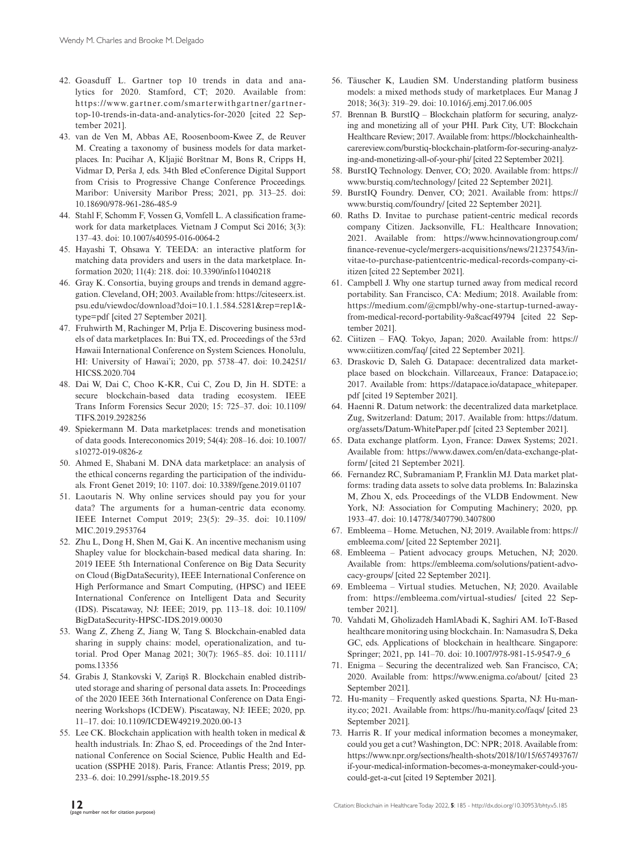- 42. Goasduff L. Gartner top 10 trends in data and analytics for 2020. Stamford, CT; 2020. Available from: [https://www.gartner.com/smarterwithgartner/gartner](https://www.gartner.com/smarterwithgartner/gartner-)top-10-trends-in-data-and-analytics-for-2020 [cited 22 September 2021].
- 43. van de Ven M, Abbas AE, Roosenboom-Kwee Z, de Reuver M. Creating a taxonomy of business models for data marketplaces. In: Pucihar A, Kljajić Borštnar M, Bons R, Cripps H, Vidmar D, Perša J, eds. 34th Bled eConference Digital Support from Crisis to Progressive Change Conference Proceedings. Maribor: University Maribor Press; 2021, pp. 313–25. doi: [10.18690/978-961-286-485-9](https://doi.org/10.18690/978-961-286-485-9)
- 44. Stahl F, Schomm F, Vossen G, Vomfell L. A classification framework for data marketplaces. Vietnam J Comput Sci 2016; 3(3): 137–43. doi: [10.1007/s40595-016-0064-2](https://doi.org/10.1007/s40595-016-0064-2)
- 45. Hayashi T, Ohsawa Y. TEEDA: an interactive platform for matching data providers and users in the data marketplace. Information 2020; 11(4): 218. doi: [10.3390/info11040218](https://doi.org/10.3390/info11040218)
- 46. Gray K. Consortia, buying groups and trends in demand aggregation. Cleveland, OH; 2003. Available from: [https://citeseerx.ist.](https://citeseerx.ist.psu.edu/viewdoc/download?doi=10.1.1.584.5281&rep=rep1&type=pdf) [psu.edu/viewdoc/download?doi=10.1.1.584.5281&rep=rep1&](https://citeseerx.ist.psu.edu/viewdoc/download?doi=10.1.1.584.5281&rep=rep1&type=pdf) [type=pdf](https://citeseerx.ist.psu.edu/viewdoc/download?doi=10.1.1.584.5281&rep=rep1&type=pdf) [cited 27 September 2021].
- 47. Fruhwirth M, Rachinger M, Prlja E. Discovering business models of data marketplaces. In: Bui TX, ed. Proceedings of the 53rd Hawaii International Conference on System Sciences. Honolulu, HI: University of Hawai'i; 2020, pp. 5738–47. doi: [10.24251/](https://doi.org/10.24251/HICSS.2020.704) [HICSS.2020.704](https://doi.org/10.24251/HICSS.2020.704)
- 48. Dai W, Dai C, Choo K-KR, Cui C, Zou D, Jin H. SDTE: a secure blockchain-based data trading ecosystem. IEEE Trans Inform Forensics Secur 2020; 15: 725–37. doi: [10.1109/](https://doi.org/10.1109/TIFS.2019.2928256) [TIFS.2019.2928256](https://doi.org/10.1109/TIFS.2019.2928256)
- 49. Spiekermann M. Data marketplaces: trends and monetisation of data goods. Intereconomics 2019; 54(4): 208–16. doi: [10.1007/](https://doi.org/10.1007/s10272-019-0826-z) [s10272-019-0826-z](https://doi.org/10.1007/s10272-019-0826-z)
- 50. Ahmed E, Shabani M. DNA data marketplace: an analysis of the ethical concerns regarding the participation of the individuals. Front Genet 2019; 10: 1107. doi: [10.3389/fgene.2019.01107](https://doi.org/10.3389/fgene.2019.01107)
- 51. Laoutaris N. Why online services should pay you for your data? The arguments for a human-centric data economy. IEEE Internet Comput 2019; 23(5): 29–35. doi: [10.1109/](https://doi.org/10.1109/MIC.2019.2953764) [MIC.2019.2953764](https://doi.org/10.1109/MIC.2019.2953764)
- 52. Zhu L, Dong H, Shen M, Gai K. An incentive mechanism using Shapley value for blockchain-based medical data sharing. In: 2019 IEEE 5th International Conference on Big Data Security on Cloud (BigDataSecurity), IEEE International Conference on High Performance and Smart Computing, (HPSC) and IEEE International Conference on Intelligent Data and Security (IDS). Piscataway, NJ: IEEE; 2019, pp. 113–18. doi: [10.1109/](https://doi.org/10.1109/BigDataSecurity-HPSC-IDS.2019.00030) [BigDataSecurity-HPSC-IDS.2019.00030](https://doi.org/10.1109/BigDataSecurity-HPSC-IDS.2019.00030)
- 53. Wang Z, Zheng Z, Jiang W, Tang S. Blockchain-enabled data sharing in supply chains: model, operationalization, and tutorial. Prod Oper Manag 2021; 30(7): 1965–85. doi: [10.1111/](https://doi.org/10.1111/poms.13356) [poms.13356](https://doi.org/10.1111/poms.13356)
- 54. Grabis J, Stankovski V, Zariņš R. Blockchain enabled distributed storage and sharing of personal data assets. In: Proceedings of the 2020 IEEE 36th International Conference on Data Engineering Workshops (ICDEW). Piscataway, NJ: IEEE; 2020, pp. 11–17. doi: [10.1109/ICDEW49219.2020.00-13](https://doi.org/10.1109/ICDEW49219.2020.00-13)
- 55. Lee CK. Blockchain application with health token in medical  $\&$ health industrials. In: Zhao S, ed. Proceedings of the 2nd International Conference on Social Science, Public Health and Education (SSPHE 2018). Paris, France: Atlantis Press; 2019, pp. 233–6. doi: [10.2991/ssphe-18.2019.55](https://doi.org/10.2991/ssphe-18.2019.55)
- 56. Täuscher K, Laudien SM. Understanding platform business models: a mixed methods study of marketplaces. Eur Manag J 2018; 36(3): 319–29. doi: [10.1016/j.emj.2017.06.005](https://doi.org/10.1016/j.emj.2017.06.005)
- 57. Brennan B. BurstIQ Blockchain platform for securing, analyzing and monetizing all of your PHI. Park City, UT: Blockchain Healthcare Review; 2017. Available from: [https://blockchainhealth](https://blockchainhealthcarereview.com/burstiq-blockchain-platform-for-securing-analyzing-and-monetizing-all-of-your-phi/)[carereview.com/burstiq-blockchain-platform-for-securing-analyz](https://blockchainhealthcarereview.com/burstiq-blockchain-platform-for-securing-analyzing-and-monetizing-all-of-your-phi/)[ing-and-monetizing-all-of-your-phi/](https://blockchainhealthcarereview.com/burstiq-blockchain-platform-for-securing-analyzing-and-monetizing-all-of-your-phi/) [cited 22 September 2021].
- 58. BurstIQ Technology. Denver, CO; 2020. Available from: [https://](https://www.burstiq.com/technology/) [www.burstiq.com/technology/](https://www.burstiq.com/technology/) [cited 22 September 2021].
- 59. BurstIQ Foundry. Denver, CO; 2021. Available from: [https://](https://www.burstiq.com/foundry/) [www.burstiq.com/foundry/](https://www.burstiq.com/foundry/) [cited 22 September 2021].
- 60. Raths D. Invitae to purchase patient-centric medical records company Citizen. Jacksonville, FL: Healthcare Innovation; 2021. Available from: [https://www.hcinnovationgroup.com/](https://www.hcinnovationgroup.com/finance-revenue-cycle/mergers-acquisitions/news/21237543/invitae-to-purchase-patientcentric-medical-records-company-ciitizen) [finance-revenue-cycle/mergers-acquisitions/news/21237543/in](https://www.hcinnovationgroup.com/finance-revenue-cycle/mergers-acquisitions/news/21237543/invitae-to-purchase-patientcentric-medical-records-company-ciitizen)[vitae-to-purchase-patientcentric-medical-records-company-ci](https://www.hcinnovationgroup.com/finance-revenue-cycle/mergers-acquisitions/news/21237543/invitae-to-purchase-patientcentric-medical-records-company-ciitizen)[itizen](https://www.hcinnovationgroup.com/finance-revenue-cycle/mergers-acquisitions/news/21237543/invitae-to-purchase-patientcentric-medical-records-company-ciitizen) [cited 22 September 2021].
- 61. Campbell J. Why one startup turned away from medical record portability. San Francisco, CA: Medium; 2018. Available from: [https://medium.com/@](https://medium.com/)cmpbl/why-one-startup-turned-awayfrom-medical-record-portability-9a8cacf49794 [cited 22 September 2021].
- 62. Ciitizen FAQ. Tokyo, Japan; 2020. Available from: [https://](https://www.ciitizen.com/faq/) [www.ciitizen.com/faq/](https://www.ciitizen.com/faq/) [cited 22 September 2021].
- 63. Draskovic D, Saleh G. Datapace: decentralized data marketplace based on blockchain. Villarceaux, France: [Datapace.io;](http://Datapace.io) 2017. Available from: [https://datapace.io/datapace\\_whitepaper.](https://datapace.io/datapace_whitepaper.pdf) [pdf](https://datapace.io/datapace_whitepaper.pdf) [cited 19 September 2021].
- 64. Haenni R. Datum network: the decentralized data marketplace. Zug, Switzerland: Datum; 2017. Available from: [https://datum.](https://datum.org/assets/Datum-WhitePaper.pdf) [org/assets/Datum-WhitePaper.pdf](https://datum.org/assets/Datum-WhitePaper.pdf) [cited 23 September 2021].
- 65. Data exchange platform. Lyon, France: Dawex Systems; 2021. Available from: [https://www.dawex.com/en/data-exchange-plat](https://www.dawex.com/en/data-exchange-platform/)[form/](https://www.dawex.com/en/data-exchange-platform/) [cited 21 September 2021].
- 66. Fernandez RC, Subramaniam P, Franklin MJ. Data market platforms: trading data assets to solve data problems. In: Balazinska M, Zhou X, eds. Proceedings of the VLDB Endowment. New York, NJ: Association for Computing Machinery; 2020, pp. 1933–47. doi: [10.14778/3407790.3407800](https://doi.org/10.14778/3407790.3407800)
- 67. Embleema Home. Metuchen, NJ; 2019. Available from: [https://](https://embleema.com/) [embleema.com/](https://embleema.com/) [cited 22 September 2021].
- 68. Embleema Patient advocacy groups. Metuchen, NJ; 2020. Available from: [https://embleema.com/solutions/patient-advo](https://embleema.com/solutions/patient-advocacy-groups/)[cacy-groups/](https://embleema.com/solutions/patient-advocacy-groups/) [cited 22 September 2021].
- 69. Embleema Virtual studies. Metuchen, NJ; 2020. Available from: <https://embleema.com/virtual-studies/> [cited 22 September 2021].
- 70. Vahdati M, Gholizadeh HamlAbadi K, Saghiri AM. IoT-Based healthcare monitoring using blockchain. In: Namasudra S, Deka GC, eds. Applications of blockchain in healthcare. Singapore: Springer; 2021, pp. 141–70. doi: [10.1007/978-981-15-9547-9\\_6](https://doi.org/10.1007/978-981-15-9547-9_6)
- 71. Enigma Securing the decentralized web. San Francisco, CA; 2020. Available from: <https://www.enigma.co/about/> [cited 23 September 2021].
- 72. Hu-manity Frequently asked questions. Sparta, NJ: [Hu-man](http://Hu-manity.co)[ity.co](http://Hu-manity.co); 2021. Available from: <https://hu-manity.co/faqs/>[cited 23 September 2021].
- 73. Harris R. If your medical information becomes a moneymaker, could you get a cut? Washington, DC: NPR; 2018. Available from: [https://www.npr.org/sections/health-shots/2018/10/15/657493767/](https://www.npr.org/sections/health-shots/2018/10/15/657493767/if-your-medical-information-becomes-a-moneymaker-could-you-could-get-a-cut) [if-your-medical-information-becomes-a-moneymaker-could-you](https://www.npr.org/sections/health-shots/2018/10/15/657493767/if-your-medical-information-becomes-a-moneymaker-could-you-could-get-a-cut)[could-get-a-cut](https://www.npr.org/sections/health-shots/2018/10/15/657493767/if-your-medical-information-becomes-a-moneymaker-could-you-could-get-a-cut) [cited 19 September 2021].